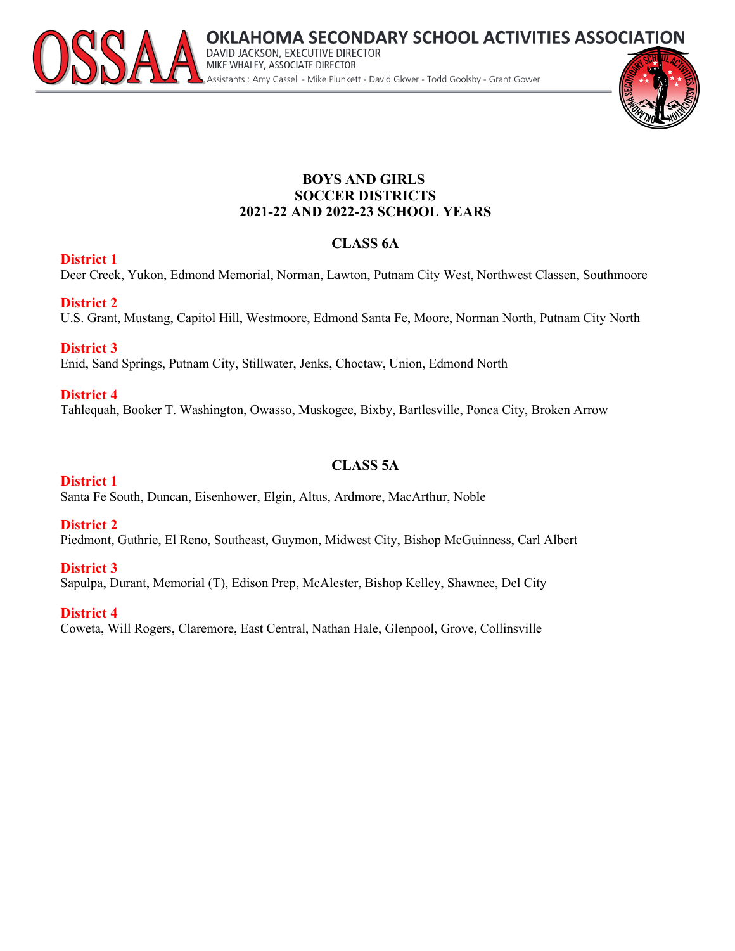

# **AHOMA SECONDARY SCHOOL ACTIVITIES ASSOCIATION** DAVID JACKSON, EXECUTIVE DIRECTOR<br>MIKE WHALEY, ASSOCIATE DIRECTOR Assistants: Amy Cassell - Mike Plunkett - David Glover - Todd Goolsby - Grant Gower

#### **BOYS AND GIRLS SOCCER DISTRICTS 2021-22 AND 2022-23 SCHOOL YEARS**

# **CLASS 6A**

#### **District 1**

Deer Creek, Yukon, Edmond Memorial, Norman, Lawton, Putnam City West, Northwest Classen, Southmoore

#### **District 2**

U.S. Grant, Mustang, Capitol Hill, Westmoore, Edmond Santa Fe, Moore, Norman North, Putnam City North

# **District 3**

Enid, Sand Springs, Putnam City, Stillwater, Jenks, Choctaw, Union, Edmond North

# **District 4**

Tahlequah, Booker T. Washington, Owasso, Muskogee, Bixby, Bartlesville, Ponca City, Broken Arrow

# **CLASS 5A**

#### **District 1**

Santa Fe South, Duncan, Eisenhower, Elgin, Altus, Ardmore, MacArthur, Noble

# **District 2**

Piedmont, Guthrie, El Reno, Southeast, Guymon, Midwest City, Bishop McGuinness, Carl Albert

# **District 3**

Sapulpa, Durant, Memorial (T), Edison Prep, McAlester, Bishop Kelley, Shawnee, Del City

# **District 4**

Coweta, Will Rogers, Claremore, East Central, Nathan Hale, Glenpool, Grove, Collinsville